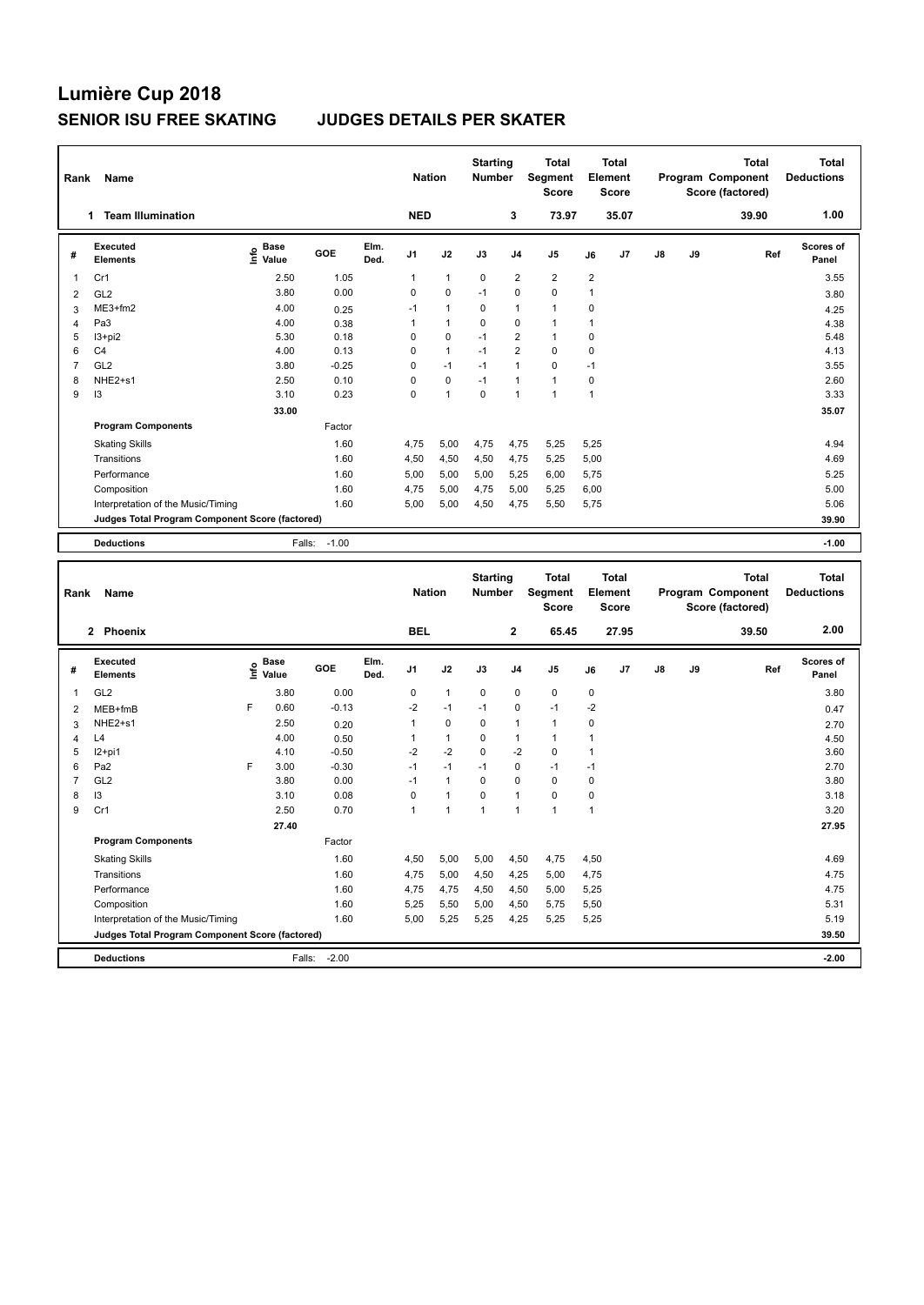## **Lumière Cup 2018 SENIOR ISU FREE SKATING JUDGES DETAILS PER SKATER**

| Rank | Name                                            |                              |         |              | <b>Nation</b>  |                | <b>Starting</b><br><b>Number</b> |                | Total<br>Segment<br><b>Score</b> |                | Total<br>Element<br><b>Score</b> |               |         | <b>Total</b><br>Program Component<br>Score (factored) | Total<br><b>Deductions</b> |
|------|-------------------------------------------------|------------------------------|---------|--------------|----------------|----------------|----------------------------------|----------------|----------------------------------|----------------|----------------------------------|---------------|---------|-------------------------------------------------------|----------------------------|
|      | <b>Team Illumination</b><br>1                   |                              |         |              | <b>NED</b>     |                |                                  | 3              | 73.97                            |                | 35.07                            |               |         | 39.90                                                 | 1.00                       |
| #    | Executed<br><b>Elements</b>                     | <b>Base</b><br>١nfo<br>Value | GOE     | Elm.<br>Ded. | J <sub>1</sub> | J2             | J3                               | J <sub>4</sub> | J <sub>5</sub>                   | J6             | J <sub>7</sub>                   | $\mathsf{J}8$ | J9      | Ref                                                   | <b>Scores of</b><br>Panel  |
| 1    | Cr1                                             | 2.50                         | 1.05    |              | 1              | $\mathbf{1}$   | $\mathbf 0$                      | $\overline{2}$ | $\overline{2}$                   | $\overline{2}$ |                                  |               |         |                                                       | 3.55                       |
| 2    | GL <sub>2</sub>                                 | 3.80                         | 0.00    |              | 0              | $\mathbf 0$    | $-1$                             | $\mathbf 0$    | $\mathbf 0$                      | 1              |                                  |               |         |                                                       | 3.80                       |
| 3    | $ME3+fm2$                                       | 4.00                         | 0.25    |              | $-1$           | $\overline{1}$ | 0                                | $\overline{1}$ | $\mathbf{1}$                     | 0              |                                  |               |         |                                                       | 4.25                       |
| 4    | Pa <sub>3</sub>                                 | 4.00                         | 0.38    |              | 1              | $\overline{1}$ | 0                                | $\mathbf 0$    | $\mathbf{1}$                     | 1              |                                  |               |         |                                                       | 4.38                       |
| 5    | $13 + pi2$                                      | 5.30                         | 0.18    |              | 0              | $\mathbf 0$    | $-1$                             | $\overline{2}$ | $\mathbf{1}$                     | 0              |                                  |               |         |                                                       | 5.48                       |
| 6    | C <sub>4</sub>                                  | 4.00                         | 0.13    |              | 0              | $\mathbf{1}$   | $-1$                             | 2              | $\Omega$                         | 0              |                                  |               |         |                                                       | 4.13                       |
| 7    | GL <sub>2</sub>                                 | 3.80                         | $-0.25$ |              | 0              | $-1$           | $-1$                             | $\overline{1}$ | $\mathbf 0$                      | $-1$           |                                  |               |         |                                                       | 3.55                       |
| 8    | NHE2+s1                                         | 2.50                         | 0.10    |              | 0              | $\mathbf 0$    | $-1$                             | $\overline{1}$ | $\mathbf{1}$                     | 0              |                                  |               |         |                                                       | 2.60                       |
| 9    | 13                                              | 3.10                         | 0.23    |              | 0              | $\overline{1}$ | 0                                | $\overline{1}$ | $\mathbf{1}$                     | 1              |                                  |               |         |                                                       | 3.33                       |
|      |                                                 | 33.00                        |         |              |                |                |                                  |                |                                  |                |                                  |               |         |                                                       | 35.07                      |
|      | <b>Program Components</b>                       |                              | Factor  |              |                |                |                                  |                |                                  |                |                                  |               |         |                                                       |                            |
|      | <b>Skating Skills</b>                           |                              | 1.60    |              | 4.75           | 5,00           | 4,75                             | 4,75           | 5,25                             | 5,25           |                                  |               |         |                                                       | 4.94                       |
|      | Transitions                                     |                              | 1.60    |              | 4,50           | 4,50           | 4,50                             | 4,75           | 5,25                             | 5,00           |                                  |               |         |                                                       | 4.69                       |
|      | Performance                                     |                              | 1.60    |              | 5.00           | 5.00           | 5.00                             | 5.25           | 6.00                             | 5.75           |                                  |               |         |                                                       | 5.25                       |
|      | Composition                                     |                              | 1.60    |              | 4,75           | 5,00           | 4,75                             | 5,00           | 5,25                             | 6,00           |                                  |               |         |                                                       | 5.00                       |
|      | Interpretation of the Music/Timing              |                              | 1.60    |              | 5,00           | 5,00           | 4,50                             | 4,75           | 5,50                             | 5,75           |                                  |               |         |                                                       | 5.06                       |
|      | Judges Total Program Component Score (factored) |                              |         |              |                |                |                                  |                |                                  |                |                                  |               | 39.90   |                                                       |                            |
|      | <b>Deductions</b>                               | Falls:                       |         |              |                |                |                                  |                |                                  |                |                                  |               | $-1.00$ |                                                       |                            |

| Rank                                            | Name                               |    |               |         |              | <b>Nation</b>  |                      | <b>Starting</b><br><b>Number</b> |                | <b>Total</b><br>Segment<br><b>Score</b> |                | <b>Total</b><br>Element<br><b>Score</b> |               |    | <b>Total</b><br>Program Component<br>Score (factored) | <b>Total</b><br><b>Deductions</b> |
|-------------------------------------------------|------------------------------------|----|---------------|---------|--------------|----------------|----------------------|----------------------------------|----------------|-----------------------------------------|----------------|-----------------------------------------|---------------|----|-------------------------------------------------------|-----------------------------------|
|                                                 | 2 Phoenix                          |    |               |         |              | <b>BEL</b>     |                      |                                  | 2              | 65.45                                   |                | 27.95                                   |               |    | 39.50                                                 | 2.00                              |
| #                                               | Executed<br><b>Elements</b>        | ۴ů | Base<br>Value | GOE     | Elm.<br>Ded. | J <sub>1</sub> | J2                   | J3                               | J <sub>4</sub> | J <sub>5</sub>                          | J6             | J <sub>7</sub>                          | $\mathsf{J}8$ | J9 | Ref                                                   | Scores of<br>Panel                |
| 1                                               | GL <sub>2</sub>                    |    | 3.80          | 0.00    |              | 0              | $\mathbf{1}$         | $\mathbf 0$                      | $\mathbf 0$    | $\pmb{0}$                               | 0              |                                         |               |    |                                                       | 3.80                              |
| 2                                               | MEB+fmB                            | F  | 0.60          | $-0.13$ |              | $-2$           | $-1$                 | $-1$                             | $\mathbf 0$    | $-1$                                    | $-2$           |                                         |               |    |                                                       | 0.47                              |
| 3                                               | NHE2+s1                            |    | 2.50          | 0.20    |              | 1              | 0                    | 0                                | $\overline{1}$ | $\mathbf{1}$                            | $\mathbf 0$    |                                         |               |    |                                                       | 2.70                              |
| 4                                               | L4                                 |    | 4.00          | 0.50    |              | 1              | $\mathbf{1}$         | 0                                | 1              | 1                                       |                |                                         |               |    |                                                       | 4.50                              |
| 5                                               | $12+pi1$                           |    | 4.10          | $-0.50$ |              | $-2$           | $-2$                 | $\Omega$                         | $-2$           | $\mathbf 0$                             | $\overline{1}$ |                                         |               |    |                                                       | 3.60                              |
| 6                                               | Pa <sub>2</sub>                    | E  | 3.00          | $-0.30$ |              | $-1$           | $-1$                 | $-1$                             | $\mathbf 0$    | $-1$                                    | $-1$           |                                         |               |    |                                                       | 2.70                              |
| 7                                               | GL <sub>2</sub>                    |    | 3.80          | 0.00    |              | $-1$           | $\mathbf{1}$         | $\Omega$                         | $\mathbf 0$    | $\mathbf 0$                             | $\mathbf 0$    |                                         |               |    |                                                       | 3.80                              |
| 8                                               | 13                                 |    | 3.10          | 0.08    |              | 0              | $\blacktriangleleft$ | $\Omega$                         | $\overline{1}$ | $\mathbf 0$                             | $\mathbf 0$    |                                         |               |    |                                                       | 3.18                              |
| 9                                               | Cr1                                |    | 2.50          | 0.70    |              | $\mathbf 1$    | $\overline{1}$       | $\overline{1}$                   | $\overline{1}$ | $\overline{1}$                          | $\overline{1}$ |                                         |               |    |                                                       | 3.20                              |
|                                                 |                                    |    | 27.40         |         |              |                |                      |                                  |                |                                         |                |                                         |               |    |                                                       | 27.95                             |
|                                                 | <b>Program Components</b>          |    |               | Factor  |              |                |                      |                                  |                |                                         |                |                                         |               |    |                                                       |                                   |
|                                                 | <b>Skating Skills</b>              |    |               | 1.60    |              | 4,50           | 5,00                 | 5,00                             | 4,50           | 4,75                                    | 4,50           |                                         |               |    |                                                       | 4.69                              |
|                                                 | Transitions                        |    |               | 1.60    |              | 4,75           | 5,00                 | 4,50                             | 4,25           | 5,00                                    | 4,75           |                                         |               |    |                                                       | 4.75                              |
|                                                 | Performance                        |    |               | 1.60    |              | 4,75           | 4,75                 | 4,50                             | 4,50           | 5,00                                    | 5,25           |                                         |               |    |                                                       | 4.75                              |
|                                                 | Composition                        |    |               | 1.60    |              | 5,25           | 5,50                 | 5,00                             | 4,50           | 5,75                                    | 5,50           |                                         |               |    |                                                       | 5.31                              |
|                                                 | Interpretation of the Music/Timing |    |               | 1.60    |              | 5,00           | 5,25                 | 5,25                             | 4,25           | 5,25                                    | 5,25           |                                         |               |    |                                                       | 5.19                              |
| Judges Total Program Component Score (factored) |                                    |    |               |         |              |                |                      |                                  |                |                                         |                |                                         | 39.50         |    |                                                       |                                   |
|                                                 | <b>Deductions</b>                  |    | Falls:        | $-2.00$ |              |                |                      |                                  |                |                                         |                |                                         |               |    |                                                       | $-2.00$                           |